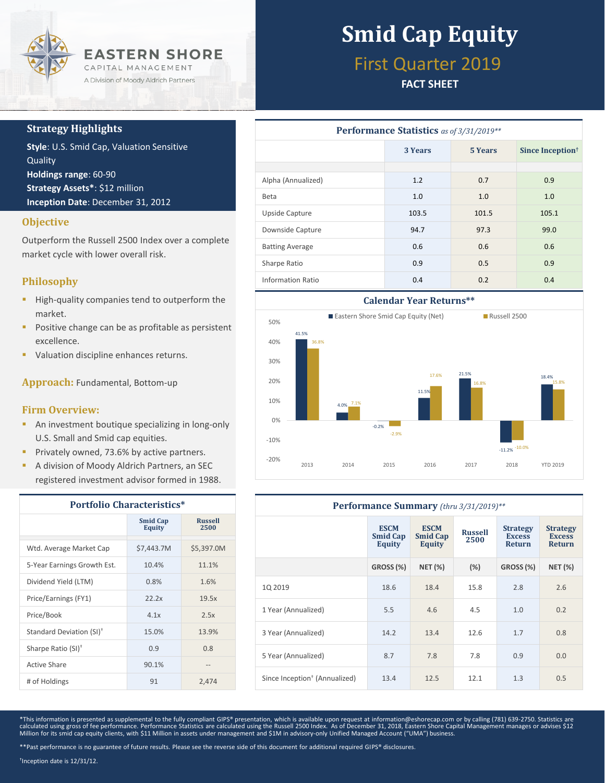

### **Strategy Highlights**

**Style**: U.S. Smid Cap, Valuation Sensitive Quality **Holdings range**: 60-90 **Strategy Assets\***: \$12 million **Inception Date**: December 31, 2012

### **Objective**

Outperform the Russell 2500 Index over a complete market cycle with lower overall risk.

### **Philosophy**

- **High-quality companies tend to outperform the** market.
- **Positive change can be as profitable as persistent** excellence.
- Valuation discipline enhances returns.

**Approach:** Fundamental, Bottom-up

### **Firm Overview:**

- **An investment boutique specializing in long-only** U.S. Small and Smid cap equities.
- **Privately owned, 73.6% by active partners.**
- A division of Moody Aldrich Partners, an SEC registered investment advisor formed in 1988.

| <b>Portfolio Characteristics*</b>    |                                  |                        |  |
|--------------------------------------|----------------------------------|------------------------|--|
|                                      | <b>Smid Cap</b><br><b>Equity</b> | <b>Russell</b><br>2500 |  |
| Wtd. Average Market Cap              | \$7,443.7M                       | \$5,397.0M             |  |
| 5-Year Earnings Growth Est.          | 10.4%                            | 11.1%                  |  |
| Dividend Yield (LTM)                 | 0.8%                             | 1.6%                   |  |
| Price/Earnings (FY1)                 | 22.2x                            | 19.5x                  |  |
| Price/Book                           | 4.1x                             | 2.5x                   |  |
| Standard Deviation (SI) <sup>†</sup> | 15.0%                            | 13.9%                  |  |
| Sharpe Ratio (SI) <sup>+</sup>       | 0.9                              | 0.8                    |  |
| Active Share                         | 90.1%                            | $- -$                  |  |
| # of Holdings                        | 91                               | 2,474                  |  |

# **Smid Cap Equity**

## First Quarter 2019

### **FACT SHEET**

| <b>Performance Statistics</b> as of 3/31/2019** |         |         |                              |  |  |
|-------------------------------------------------|---------|---------|------------------------------|--|--|
|                                                 | 3 Years | 5 Years | Since Inception <sup>†</sup> |  |  |
|                                                 |         |         |                              |  |  |
| Alpha (Annualized)                              | 1.2     | 0.7     | 0.9                          |  |  |
| <b>Beta</b>                                     | 1.0     | 1.0     | 1.0                          |  |  |
| Upside Capture                                  | 103.5   | 101.5   | 105.1                        |  |  |
| Downside Capture                                | 94.7    | 97.3    | 99.0                         |  |  |
| <b>Batting Average</b>                          | 0.6     | 0.6     | 0.6                          |  |  |
| Sharpe Ratio                                    | 0.9     | 0.5     | 0.9                          |  |  |
| Information Ratio                               | 0.4     | 0.2     | 0.4                          |  |  |



| Performance Summary (thru 3/31/2019)**    |                                          |                                          |                        |                                            |                                                   |  |
|-------------------------------------------|------------------------------------------|------------------------------------------|------------------------|--------------------------------------------|---------------------------------------------------|--|
|                                           | <b>ESCM</b><br><b>Smid Cap</b><br>Equity | <b>ESCM</b><br><b>Smid Cap</b><br>Equity | <b>Russell</b><br>2500 | <b>Strategy</b><br><b>Excess</b><br>Return | <b>Strategy</b><br><b>Excess</b><br><b>Return</b> |  |
|                                           | GROSS (%)                                | <b>NET (%)</b>                           | $(\%)$                 | GROSS (%)                                  | <b>NET (%)</b>                                    |  |
| 1Q 2019                                   | 18.6                                     | 18.4                                     | 15.8                   | 2.8                                        | 2.6                                               |  |
| 1 Year (Annualized)                       | 5.5                                      | 4.6                                      | 4.5                    | 1.0                                        | 0.2                                               |  |
| 3 Year (Annualized)                       | 14.2                                     | 13.4                                     | 12.6                   | 1.7                                        | 0.8                                               |  |
| 5 Year (Annualized)                       | 8.7                                      | 7.8                                      | 7.8                    | 0.9                                        | 0.0                                               |  |
| Since Inception <sup>+</sup> (Annualized) | 13.4                                     | 12.5                                     | 12.1                   | 1.3                                        | 0.5                                               |  |

\*This information is presented as supplemental to the fully compliant GIPS® presentation, which is available upon request at information@eshorecap.com or by calling (781) 639-2750. Statistics are calculated using gross of fee performance. Performance Statistics are calculated using the Russell 2500 Index. As of December 31, 2018, Eastern Shore Capital Management manages or advises \$12<br>Million for its smid cap equit

† Inception date is 12/31/12.